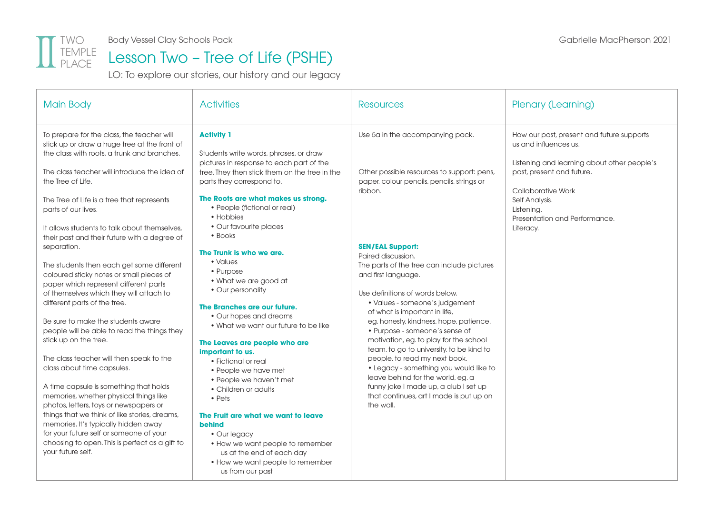

Body Vessel Clay Schools Pack and the control of the control of the Gabrielle MacPherson 2021

## TEMPLE Lesson Two - Tree of Life (PSHE)

LO: To explore our stories, our history and our legacy

| <b>Main Body</b>                                                                                                                                                                                                                                                                                                                                                                                                                                                                                                                                                                                                                                                                                                                                          | <b>Activities</b>                                                                                                                                                                                                                                                                                                                                                                                                                                                                                                                                                         | <b>Resources</b>                                                                                                                                                                                                                                                                                                                                                                                                                                                                                                                                                                                            | Plenary (Learning)                                                                                                                                                                                                                                 |
|-----------------------------------------------------------------------------------------------------------------------------------------------------------------------------------------------------------------------------------------------------------------------------------------------------------------------------------------------------------------------------------------------------------------------------------------------------------------------------------------------------------------------------------------------------------------------------------------------------------------------------------------------------------------------------------------------------------------------------------------------------------|---------------------------------------------------------------------------------------------------------------------------------------------------------------------------------------------------------------------------------------------------------------------------------------------------------------------------------------------------------------------------------------------------------------------------------------------------------------------------------------------------------------------------------------------------------------------------|-------------------------------------------------------------------------------------------------------------------------------------------------------------------------------------------------------------------------------------------------------------------------------------------------------------------------------------------------------------------------------------------------------------------------------------------------------------------------------------------------------------------------------------------------------------------------------------------------------------|----------------------------------------------------------------------------------------------------------------------------------------------------------------------------------------------------------------------------------------------------|
| To prepare for the class, the teacher will<br>stick up or draw a huge tree at the front of<br>the class with roots, a trunk and branches.<br>The class teacher will introduce the idea of<br>the Tree of Life.<br>The Tree of Life is a tree that represents<br>parts of our lives.<br>It allows students to talk about themselves.<br>their past and their future with a degree of                                                                                                                                                                                                                                                                                                                                                                       | <b>Activity 1</b><br>Students write words, phrases, or draw<br>pictures in response to each part of the<br>tree. They then stick them on the tree in the<br>parts they correspond to.<br>The Roots are what makes us strong.<br>• People (fictional or real)<br>• Hobbies<br>• Our favourite places<br>• Books                                                                                                                                                                                                                                                            | Use 5a in the accompanying pack.<br>Other possible resources to support: pens,<br>paper, colour pencils, pencils, strings or<br>ribbon.                                                                                                                                                                                                                                                                                                                                                                                                                                                                     | How our past, present and future supports<br>us and influences us.<br>Listening and learning about other people's<br>past, present and future.<br>Collaborative Work<br>Self Analysis.<br>Listening.<br>Presentation and Performance.<br>Literacy. |
| separation.<br>The students then each get some different<br>coloured sticky notes or small pieces of<br>paper which represent different parts<br>of themselves which they will attach to<br>different parts of the tree.<br>Be sure to make the students aware<br>people will be able to read the things they<br>stick up on the tree.<br>The class teacher will then speak to the<br>class about time capsules.<br>A time capsule is something that holds<br>memories, whether physical things like<br>photos, letters, toys or newspapers or<br>things that we think of like stories, dreams,<br>memories. It's typically hidden away<br>for your future self or someone of your<br>choosing to open. This is perfect as a gift to<br>vour future self. | The Trunk is who we are.<br>• Values<br>• Purpose<br>• What we are good at<br>• Our personality<br>The Branches are our future.<br>• Our hopes and dreams<br>• What we want our future to be like<br>The Leaves are people who are<br>important to us.<br>• Fictional or real<br>• People we have met<br>• People we haven't met<br>• Children or adults<br>$\cdot$ Pets<br>The Fruit are what we want to leave<br><b>behind</b><br>• Our legacy<br>• How we want people to remember<br>us at the end of each day<br>• How we want people to remember<br>us from our past | <b>SEN/EAL Support:</b><br>Paired discussion.<br>The parts of the tree can include pictures<br>and first language.<br>Use definitions of words below.<br>• Values - someone's judgement<br>of what is important in life,<br>eg. honesty, kindness, hope, patience.<br>• Purpose - someone's sense of<br>motivation, eg. to play for the school<br>team, to go to university, to be kind to<br>people, to read my next book.<br>• Legacy - something you would like to<br>leave behind for the world, eg. a<br>funny joke I made up, a club I set up<br>that continues, art I made is put up on<br>the wall. |                                                                                                                                                                                                                                                    |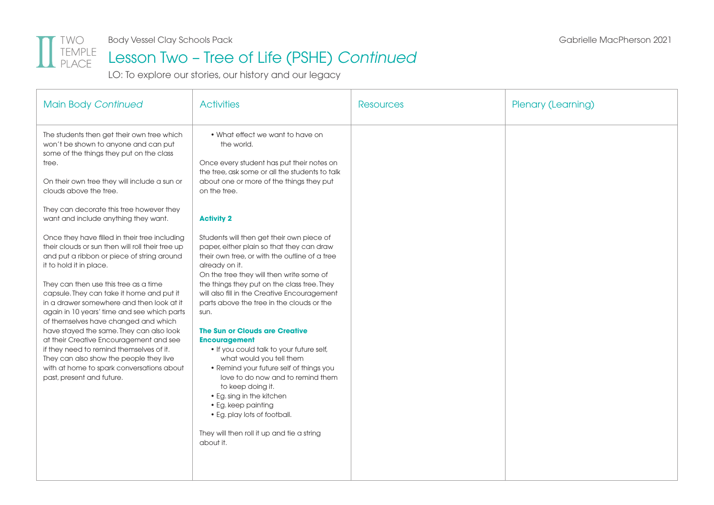

## Lesson Two – Tree of Life (PSHE) *Continued*

LO: To explore our stories, our history and our legacy

| <b>Main Body Continued</b>                                                                                                                                                                                                                                                                                                                                                                                                                                                                                                                                                                                                                                   | <b>Activities</b>                                                                                                                                                                                                                                                                                                                                                                                                                                                                                                                                                                                                                                                                                                                               | <b>Resources</b> | Plenary (Learning) |
|--------------------------------------------------------------------------------------------------------------------------------------------------------------------------------------------------------------------------------------------------------------------------------------------------------------------------------------------------------------------------------------------------------------------------------------------------------------------------------------------------------------------------------------------------------------------------------------------------------------------------------------------------------------|-------------------------------------------------------------------------------------------------------------------------------------------------------------------------------------------------------------------------------------------------------------------------------------------------------------------------------------------------------------------------------------------------------------------------------------------------------------------------------------------------------------------------------------------------------------------------------------------------------------------------------------------------------------------------------------------------------------------------------------------------|------------------|--------------------|
| The students then get their own tree which<br>won't be shown to anyone and can put<br>some of the things they put on the class<br>tree.<br>On their own tree they will include a sun or<br>clouds above the tree.                                                                                                                                                                                                                                                                                                                                                                                                                                            | • What effect we want to have on<br>the world.<br>Once every student has put their notes on<br>the tree, ask some or all the students to talk<br>about one or more of the things they put<br>on the tree.                                                                                                                                                                                                                                                                                                                                                                                                                                                                                                                                       |                  |                    |
| They can decorate this tree however they<br>want and include anything they want.                                                                                                                                                                                                                                                                                                                                                                                                                                                                                                                                                                             | <b>Activity 2</b>                                                                                                                                                                                                                                                                                                                                                                                                                                                                                                                                                                                                                                                                                                                               |                  |                    |
| Once they have filled in their tree including<br>their clouds or sun then will roll their tree up<br>and put a ribbon or piece of string around<br>it to hold it in place.<br>They can then use this tree as a time<br>capsule. They can take it home and put it<br>in a drawer somewhere and then look at it<br>again in 10 years' time and see which parts<br>of themselves have changed and which<br>have stayed the same. They can also look<br>at their Creative Encouragement and see<br>if they need to remind themselves of it.<br>They can also show the people they live<br>with at home to spark conversations about<br>past, present and future. | Students will then get their own piece of<br>paper, either plain so that they can draw<br>their own tree, or with the outline of a tree<br>already on it.<br>On the tree they will then write some of<br>the things they put on the class tree. They<br>will also fill in the Creative Encouragement<br>parts above the tree in the clouds or the<br>sun.<br>The Sun or Clouds are Creative<br><b>Encouragement</b><br>. If you could talk to your future self,<br>what would you tell them<br>• Remind your future self of things you<br>love to do now and to remind them<br>to keep doing it.<br>• Eg. sing in the kitchen<br>• Eg. keep painting<br>• Eg. play lots of football.<br>They will then roll it up and tie a string<br>about it. |                  |                    |